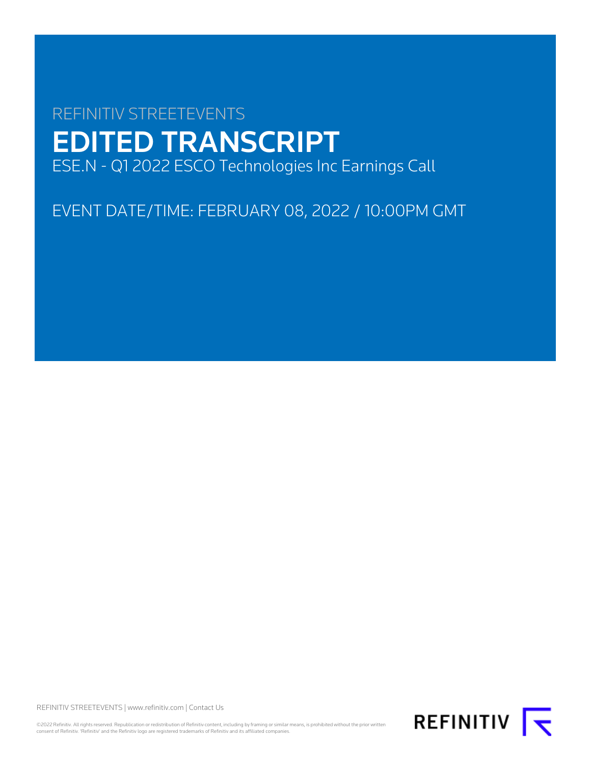# REFINITIV STREETEVENTS EDITED TRANSCRIPT ESE.N - Q1 2022 ESCO Technologies Inc Earnings Call

EVENT DATE/TIME: FEBRUARY 08, 2022 / 10:00PM GMT

REFINITIV STREETEVENTS | [www.refinitiv.com](https://www.refinitiv.com/) | [Contact Us](https://www.refinitiv.com/en/contact-us)

©2022 Refinitiv. All rights reserved. Republication or redistribution of Refinitiv content, including by framing or similar means, is prohibited without the prior written<br>consent of Refinitiv. 'Refinitiv' and the Refinitiv

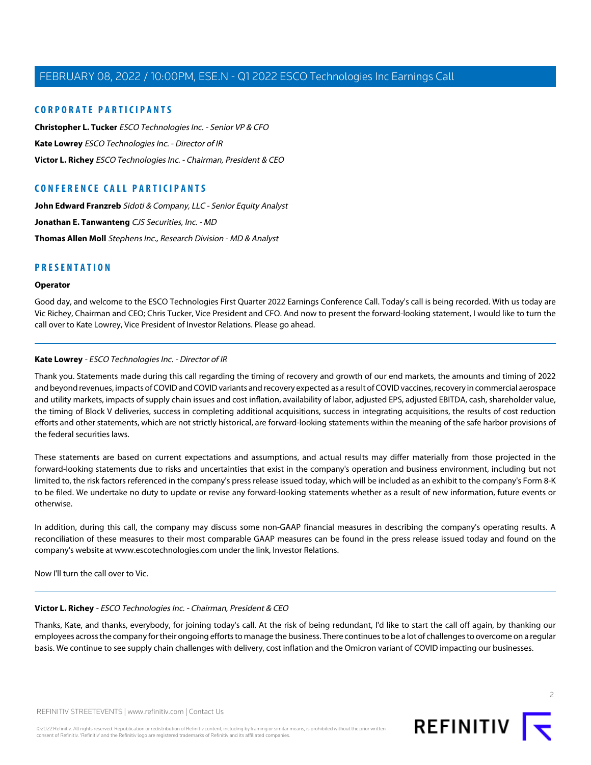# **CORPORATE PARTICIPANTS**

**[Christopher L. Tucker](#page-3-0)** ESCO Technologies Inc. - Senior VP & CFO **[Kate Lowrey](#page-1-0)** ESCO Technologies Inc. - Director of IR **[Victor L. Richey](#page-1-1)** ESCO Technologies Inc. - Chairman, President & CEO

# **CONFERENCE CALL PARTICIPANTS**

[John Edward Franzreb](#page-6-0) Sidoti & Company, LLC - Senior Equity Analyst **[Jonathan E. Tanwanteng](#page-7-0)** CJS Securities, Inc. - MD **[Thomas Allen Moll](#page-4-0)** Stephens Inc., Research Division - MD & Analyst

# **PRESENTATION**

### **Operator**

<span id="page-1-0"></span>Good day, and welcome to the ESCO Technologies First Quarter 2022 Earnings Conference Call. Today's call is being recorded. With us today are Vic Richey, Chairman and CEO; Chris Tucker, Vice President and CFO. And now to present the forward-looking statement, I would like to turn the call over to Kate Lowrey, Vice President of Investor Relations. Please go ahead.

### **Kate Lowrey** - ESCO Technologies Inc. - Director of IR

Thank you. Statements made during this call regarding the timing of recovery and growth of our end markets, the amounts and timing of 2022 and beyond revenues, impacts of COVID and COVID variants and recovery expected as a result of COVID vaccines, recovery in commercial aerospace and utility markets, impacts of supply chain issues and cost inflation, availability of labor, adjusted EPS, adjusted EBITDA, cash, shareholder value, the timing of Block V deliveries, success in completing additional acquisitions, success in integrating acquisitions, the results of cost reduction efforts and other statements, which are not strictly historical, are forward-looking statements within the meaning of the safe harbor provisions of the federal securities laws.

These statements are based on current expectations and assumptions, and actual results may differ materially from those projected in the forward-looking statements due to risks and uncertainties that exist in the company's operation and business environment, including but not limited to, the risk factors referenced in the company's press release issued today, which will be included as an exhibit to the company's Form 8-K to be filed. We undertake no duty to update or revise any forward-looking statements whether as a result of new information, future events or otherwise.

<span id="page-1-1"></span>In addition, during this call, the company may discuss some non-GAAP financial measures in describing the company's operating results. A reconciliation of these measures to their most comparable GAAP measures can be found in the press release issued today and found on the company's website at www.escotechnologies.com under the link, Investor Relations.

Now I'll turn the call over to Vic.

### **Victor L. Richey** - ESCO Technologies Inc. - Chairman, President & CEO

Thanks, Kate, and thanks, everybody, for joining today's call. At the risk of being redundant, I'd like to start the call off again, by thanking our employees across the company for their ongoing efforts to manage the business. There continues to be a lot of challenges to overcome on a regular basis. We continue to see supply chain challenges with delivery, cost inflation and the Omicron variant of COVID impacting our businesses.



 $\overline{2}$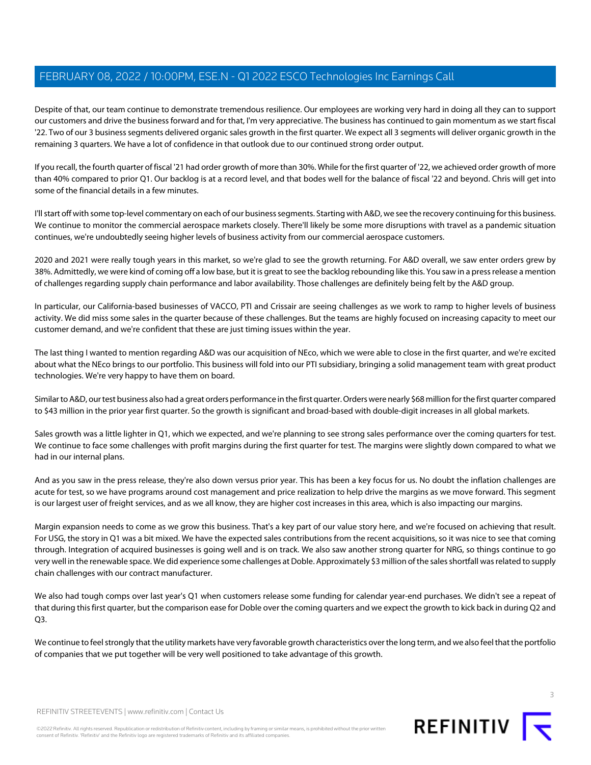Despite of that, our team continue to demonstrate tremendous resilience. Our employees are working very hard in doing all they can to support our customers and drive the business forward and for that, I'm very appreciative. The business has continued to gain momentum as we start fiscal '22. Two of our 3 business segments delivered organic sales growth in the first quarter. We expect all 3 segments will deliver organic growth in the remaining 3 quarters. We have a lot of confidence in that outlook due to our continued strong order output.

If you recall, the fourth quarter of fiscal '21 had order growth of more than 30%. While for the first quarter of '22, we achieved order growth of more than 40% compared to prior Q1. Our backlog is at a record level, and that bodes well for the balance of fiscal '22 and beyond. Chris will get into some of the financial details in a few minutes.

I'll start off with some top-level commentary on each of our business segments. Starting with A&D, we see the recovery continuing for this business. We continue to monitor the commercial aerospace markets closely. There'll likely be some more disruptions with travel as a pandemic situation continues, we're undoubtedly seeing higher levels of business activity from our commercial aerospace customers.

2020 and 2021 were really tough years in this market, so we're glad to see the growth returning. For A&D overall, we saw enter orders grew by 38%. Admittedly, we were kind of coming off a low base, but it is great to see the backlog rebounding like this. You saw in a press release a mention of challenges regarding supply chain performance and labor availability. Those challenges are definitely being felt by the A&D group.

In particular, our California-based businesses of VACCO, PTI and Crissair are seeing challenges as we work to ramp to higher levels of business activity. We did miss some sales in the quarter because of these challenges. But the teams are highly focused on increasing capacity to meet our customer demand, and we're confident that these are just timing issues within the year.

The last thing I wanted to mention regarding A&D was our acquisition of NEco, which we were able to close in the first quarter, and we're excited about what the NEco brings to our portfolio. This business will fold into our PTI subsidiary, bringing a solid management team with great product technologies. We're very happy to have them on board.

Similar to A&D, our test business also had a great orders performance in the first quarter. Orders were nearly \$68 million for the first quarter compared to \$43 million in the prior year first quarter. So the growth is significant and broad-based with double-digit increases in all global markets.

Sales growth was a little lighter in Q1, which we expected, and we're planning to see strong sales performance over the coming quarters for test. We continue to face some challenges with profit margins during the first quarter for test. The margins were slightly down compared to what we had in our internal plans.

And as you saw in the press release, they're also down versus prior year. This has been a key focus for us. No doubt the inflation challenges are acute for test, so we have programs around cost management and price realization to help drive the margins as we move forward. This segment is our largest user of freight services, and as we all know, they are higher cost increases in this area, which is also impacting our margins.

Margin expansion needs to come as we grow this business. That's a key part of our value story here, and we're focused on achieving that result. For USG, the story in Q1 was a bit mixed. We have the expected sales contributions from the recent acquisitions, so it was nice to see that coming through. Integration of acquired businesses is going well and is on track. We also saw another strong quarter for NRG, so things continue to go very well in the renewable space. We did experience some challenges at Doble. Approximately \$3 million of the sales shortfall was related to supply chain challenges with our contract manufacturer.

We also had tough comps over last year's Q1 when customers release some funding for calendar year-end purchases. We didn't see a repeat of that during this first quarter, but the comparison ease for Doble over the coming quarters and we expect the growth to kick back in during Q2 and  $O<sub>3</sub>$ 

We continue to feel strongly that the utility markets have very favorable growth characteristics over the long term, and we also feel that the portfolio of companies that we put together will be very well positioned to take advantage of this growth.

REFINITIV STREETEVENTS | [www.refinitiv.com](https://www.refinitiv.com/) | [Contact Us](https://www.refinitiv.com/en/contact-us)

©2022 Refinitiv. All rights reserved. Republication or redistribution of Refinitiv content, including by framing or similar means, is prohibited without the prior written consent of Refinitiv. 'Refinitiv' and the Refinitiv logo are registered trademarks of Refinitiv and its affiliated companies.

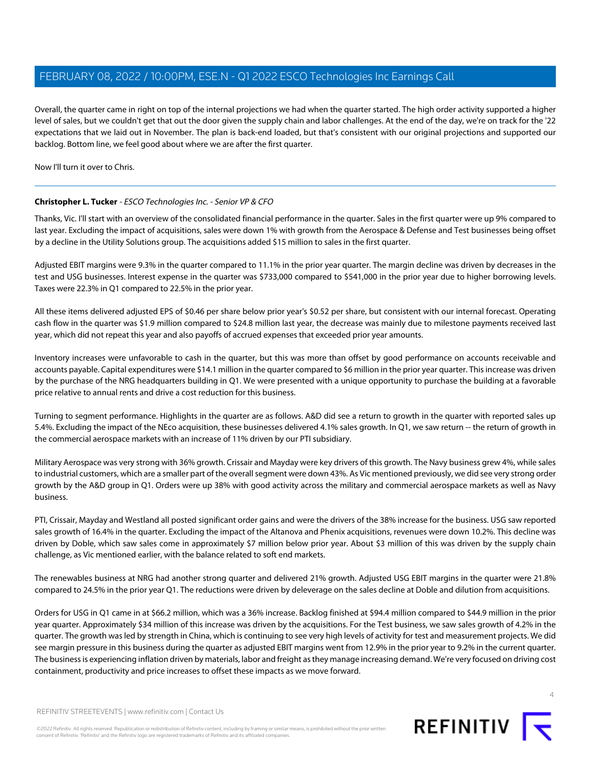Overall, the quarter came in right on top of the internal projections we had when the quarter started. The high order activity supported a higher level of sales, but we couldn't get that out the door given the supply chain and labor challenges. At the end of the day, we're on track for the '22 expectations that we laid out in November. The plan is back-end loaded, but that's consistent with our original projections and supported our backlog. Bottom line, we feel good about where we are after the first quarter.

<span id="page-3-0"></span>Now I'll turn it over to Chris.

# **Christopher L. Tucker** - ESCO Technologies Inc. - Senior VP & CFO

Thanks, Vic. I'll start with an overview of the consolidated financial performance in the quarter. Sales in the first quarter were up 9% compared to last year. Excluding the impact of acquisitions, sales were down 1% with growth from the Aerospace & Defense and Test businesses being offset by a decline in the Utility Solutions group. The acquisitions added \$15 million to sales in the first quarter.

Adjusted EBIT margins were 9.3% in the quarter compared to 11.1% in the prior year quarter. The margin decline was driven by decreases in the test and USG businesses. Interest expense in the quarter was \$733,000 compared to \$541,000 in the prior year due to higher borrowing levels. Taxes were 22.3% in Q1 compared to 22.5% in the prior year.

All these items delivered adjusted EPS of \$0.46 per share below prior year's \$0.52 per share, but consistent with our internal forecast. Operating cash flow in the quarter was \$1.9 million compared to \$24.8 million last year, the decrease was mainly due to milestone payments received last year, which did not repeat this year and also payoffs of accrued expenses that exceeded prior year amounts.

Inventory increases were unfavorable to cash in the quarter, but this was more than offset by good performance on accounts receivable and accounts payable. Capital expenditures were \$14.1 million in the quarter compared to \$6 million in the prior year quarter. This increase was driven by the purchase of the NRG headquarters building in Q1. We were presented with a unique opportunity to purchase the building at a favorable price relative to annual rents and drive a cost reduction for this business.

Turning to segment performance. Highlights in the quarter are as follows. A&D did see a return to growth in the quarter with reported sales up 5.4%. Excluding the impact of the NEco acquisition, these businesses delivered 4.1% sales growth. In Q1, we saw return -- the return of growth in the commercial aerospace markets with an increase of 11% driven by our PTI subsidiary.

Military Aerospace was very strong with 36% growth. Crissair and Mayday were key drivers of this growth. The Navy business grew 4%, while sales to industrial customers, which are a smaller part of the overall segment were down 43%. As Vic mentioned previously, we did see very strong order growth by the A&D group in Q1. Orders were up 38% with good activity across the military and commercial aerospace markets as well as Navy business.

PTI, Crissair, Mayday and Westland all posted significant order gains and were the drivers of the 38% increase for the business. USG saw reported sales growth of 16.4% in the quarter. Excluding the impact of the Altanova and Phenix acquisitions, revenues were down 10.2%. This decline was driven by Doble, which saw sales come in approximately \$7 million below prior year. About \$3 million of this was driven by the supply chain challenge, as Vic mentioned earlier, with the balance related to soft end markets.

The renewables business at NRG had another strong quarter and delivered 21% growth. Adjusted USG EBIT margins in the quarter were 21.8% compared to 24.5% in the prior year Q1. The reductions were driven by deleverage on the sales decline at Doble and dilution from acquisitions.

Orders for USG in Q1 came in at \$66.2 million, which was a 36% increase. Backlog finished at \$94.4 million compared to \$44.9 million in the prior year quarter. Approximately \$34 million of this increase was driven by the acquisitions. For the Test business, we saw sales growth of 4.2% in the quarter. The growth was led by strength in China, which is continuing to see very high levels of activity for test and measurement projects. We did see margin pressure in this business during the quarter as adjusted EBIT margins went from 12.9% in the prior year to 9.2% in the current quarter. The business is experiencing inflation driven by materials, labor and freight as they manage increasing demand. We're very focused on driving cost containment, productivity and price increases to offset these impacts as we move forward.



©2022 Refinitiv. All rights reserved. Republication or redistribution of Refinitiv content, including by framing or similar means, is prohibited without the prior written consent of Refinitiv. 'Refinitiv' and the Refinitiv logo are registered trademarks of Refinitiv and its affiliated companies.

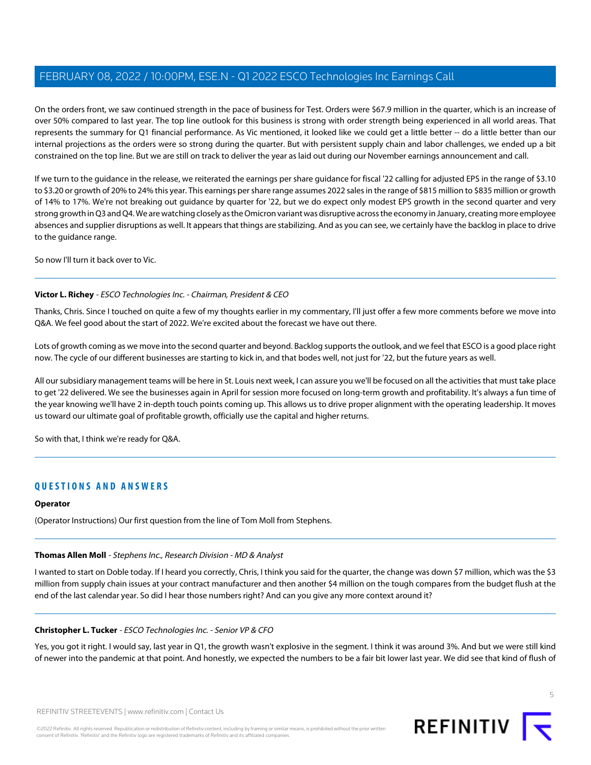On the orders front, we saw continued strength in the pace of business for Test. Orders were \$67.9 million in the quarter, which is an increase of over 50% compared to last year. The top line outlook for this business is strong with order strength being experienced in all world areas. That represents the summary for Q1 financial performance. As Vic mentioned, it looked like we could get a little better -- do a little better than our internal projections as the orders were so strong during the quarter. But with persistent supply chain and labor challenges, we ended up a bit constrained on the top line. But we are still on track to deliver the year as laid out during our November earnings announcement and call.

If we turn to the guidance in the release, we reiterated the earnings per share guidance for fiscal '22 calling for adjusted EPS in the range of \$3.10 to \$3.20 or growth of 20% to 24% this year. This earnings per share range assumes 2022 sales in the range of \$815 million to \$835 million or growth of 14% to 17%. We're not breaking out guidance by quarter for '22, but we do expect only modest EPS growth in the second quarter and very strong growth in Q3 and Q4. We are watching closely as the Omicron variant was disruptive across the economy in January, creating more employee absences and supplier disruptions as well. It appears that things are stabilizing. And as you can see, we certainly have the backlog in place to drive to the guidance range.

So now I'll turn it back over to Vic.

# **Victor L. Richey** - ESCO Technologies Inc. - Chairman, President & CEO

Thanks, Chris. Since I touched on quite a few of my thoughts earlier in my commentary, I'll just offer a few more comments before we move into Q&A. We feel good about the start of 2022. We're excited about the forecast we have out there.

Lots of growth coming as we move into the second quarter and beyond. Backlog supports the outlook, and we feel that ESCO is a good place right now. The cycle of our different businesses are starting to kick in, and that bodes well, not just for '22, but the future years as well.

All our subsidiary management teams will be here in St. Louis next week, I can assure you we'll be focused on all the activities that must take place to get '22 delivered. We see the businesses again in April for session more focused on long-term growth and profitability. It's always a fun time of the year knowing we'll have 2 in-depth touch points coming up. This allows us to drive proper alignment with the operating leadership. It moves us toward our ultimate goal of profitable growth, officially use the capital and higher returns.

So with that, I think we're ready for Q&A.

# **QUESTIONS AND ANSWERS**

### <span id="page-4-0"></span>**Operator**

(Operator Instructions) Our first question from the line of Tom Moll from Stephens.

### **Thomas Allen Moll** - Stephens Inc., Research Division - MD & Analyst

I wanted to start on Doble today. If I heard you correctly, Chris, I think you said for the quarter, the change was down \$7 million, which was the \$3 million from supply chain issues at your contract manufacturer and then another \$4 million on the tough compares from the budget flush at the end of the last calendar year. So did I hear those numbers right? And can you give any more context around it?

### **Christopher L. Tucker** - ESCO Technologies Inc. - Senior VP & CFO

Yes, you got it right. I would say, last year in Q1, the growth wasn't explosive in the segment. I think it was around 3%. And but we were still kind of newer into the pandemic at that point. And honestly, we expected the numbers to be a fair bit lower last year. We did see that kind of flush of

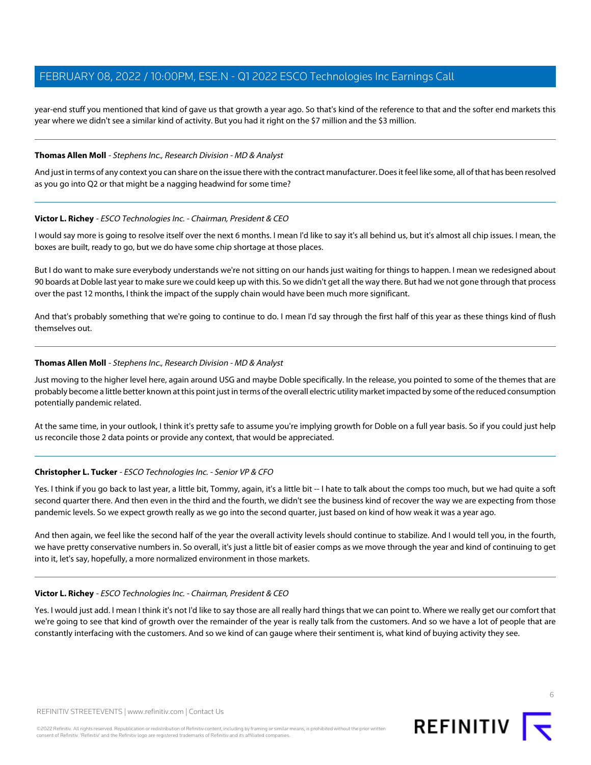year-end stuff you mentioned that kind of gave us that growth a year ago. So that's kind of the reference to that and the softer end markets this year where we didn't see a similar kind of activity. But you had it right on the \$7 million and the \$3 million.

### **Thomas Allen Moll** - Stephens Inc., Research Division - MD & Analyst

And just in terms of any context you can share on the issue there with the contract manufacturer. Does it feel like some, all of that has been resolved as you go into Q2 or that might be a nagging headwind for some time?

### **Victor L. Richey** - ESCO Technologies Inc. - Chairman, President & CEO

I would say more is going to resolve itself over the next 6 months. I mean I'd like to say it's all behind us, but it's almost all chip issues. I mean, the boxes are built, ready to go, but we do have some chip shortage at those places.

But I do want to make sure everybody understands we're not sitting on our hands just waiting for things to happen. I mean we redesigned about 90 boards at Doble last year to make sure we could keep up with this. So we didn't get all the way there. But had we not gone through that process over the past 12 months, I think the impact of the supply chain would have been much more significant.

And that's probably something that we're going to continue to do. I mean I'd say through the first half of this year as these things kind of flush themselves out.

### **Thomas Allen Moll** - Stephens Inc., Research Division - MD & Analyst

Just moving to the higher level here, again around USG and maybe Doble specifically. In the release, you pointed to some of the themes that are probably become a little better known at this point just in terms of the overall electric utility market impacted by some of the reduced consumption potentially pandemic related.

At the same time, in your outlook, I think it's pretty safe to assume you're implying growth for Doble on a full year basis. So if you could just help us reconcile those 2 data points or provide any context, that would be appreciated.

### **Christopher L. Tucker** - ESCO Technologies Inc. - Senior VP & CFO

Yes. I think if you go back to last year, a little bit, Tommy, again, it's a little bit -- I hate to talk about the comps too much, but we had quite a soft second quarter there. And then even in the third and the fourth, we didn't see the business kind of recover the way we are expecting from those pandemic levels. So we expect growth really as we go into the second quarter, just based on kind of how weak it was a year ago.

And then again, we feel like the second half of the year the overall activity levels should continue to stabilize. And I would tell you, in the fourth, we have pretty conservative numbers in. So overall, it's just a little bit of easier comps as we move through the year and kind of continuing to get into it, let's say, hopefully, a more normalized environment in those markets.

### **Victor L. Richey** - ESCO Technologies Inc. - Chairman, President & CEO

Yes. I would just add. I mean I think it's not I'd like to say those are all really hard things that we can point to. Where we really get our comfort that we're going to see that kind of growth over the remainder of the year is really talk from the customers. And so we have a lot of people that are constantly interfacing with the customers. And so we kind of can gauge where their sentiment is, what kind of buying activity they see.

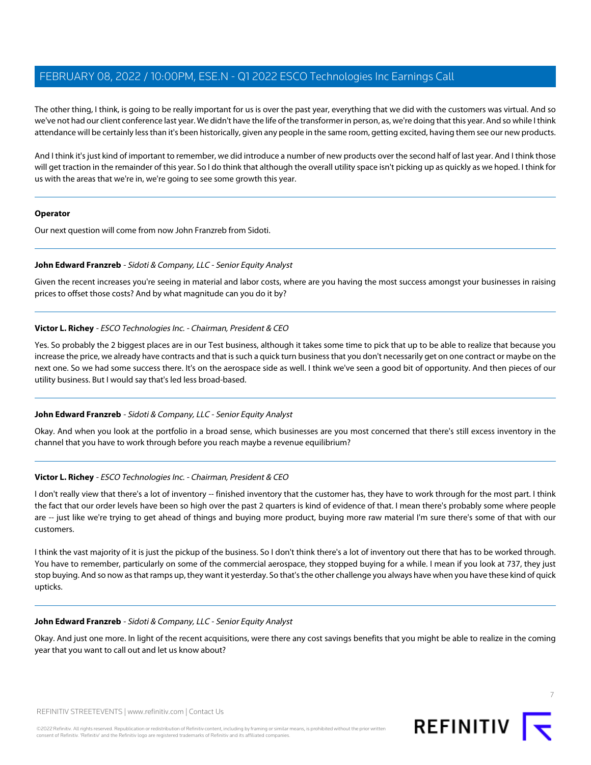The other thing, I think, is going to be really important for us is over the past year, everything that we did with the customers was virtual. And so we've not had our client conference last year. We didn't have the life of the transformer in person, as, we're doing that this year. And so while I think attendance will be certainly less than it's been historically, given any people in the same room, getting excited, having them see our new products.

And I think it's just kind of important to remember, we did introduce a number of new products over the second half of last year. And I think those will get traction in the remainder of this year. So I do think that although the overall utility space isn't picking up as quickly as we hoped. I think for us with the areas that we're in, we're going to see some growth this year.

### **Operator**

<span id="page-6-0"></span>Our next question will come from now John Franzreb from Sidoti.

### **John Edward Franzreb** - Sidoti & Company, LLC - Senior Equity Analyst

Given the recent increases you're seeing in material and labor costs, where are you having the most success amongst your businesses in raising prices to offset those costs? And by what magnitude can you do it by?

### **Victor L. Richey** - ESCO Technologies Inc. - Chairman, President & CEO

Yes. So probably the 2 biggest places are in our Test business, although it takes some time to pick that up to be able to realize that because you increase the price, we already have contracts and that is such a quick turn business that you don't necessarily get on one contract or maybe on the next one. So we had some success there. It's on the aerospace side as well. I think we've seen a good bit of opportunity. And then pieces of our utility business. But I would say that's led less broad-based.

### **John Edward Franzreb** - Sidoti & Company, LLC - Senior Equity Analyst

Okay. And when you look at the portfolio in a broad sense, which businesses are you most concerned that there's still excess inventory in the channel that you have to work through before you reach maybe a revenue equilibrium?

### **Victor L. Richey** - ESCO Technologies Inc. - Chairman, President & CEO

I don't really view that there's a lot of inventory -- finished inventory that the customer has, they have to work through for the most part. I think the fact that our order levels have been so high over the past 2 quarters is kind of evidence of that. I mean there's probably some where people are -- just like we're trying to get ahead of things and buying more product, buying more raw material I'm sure there's some of that with our customers.

I think the vast majority of it is just the pickup of the business. So I don't think there's a lot of inventory out there that has to be worked through. You have to remember, particularly on some of the commercial aerospace, they stopped buying for a while. I mean if you look at 737, they just stop buying. And so now as that ramps up, they want it yesterday. So that's the other challenge you always have when you have these kind of quick upticks.

### **John Edward Franzreb** - Sidoti & Company, LLC - Senior Equity Analyst

Okay. And just one more. In light of the recent acquisitions, were there any cost savings benefits that you might be able to realize in the coming year that you want to call out and let us know about?



7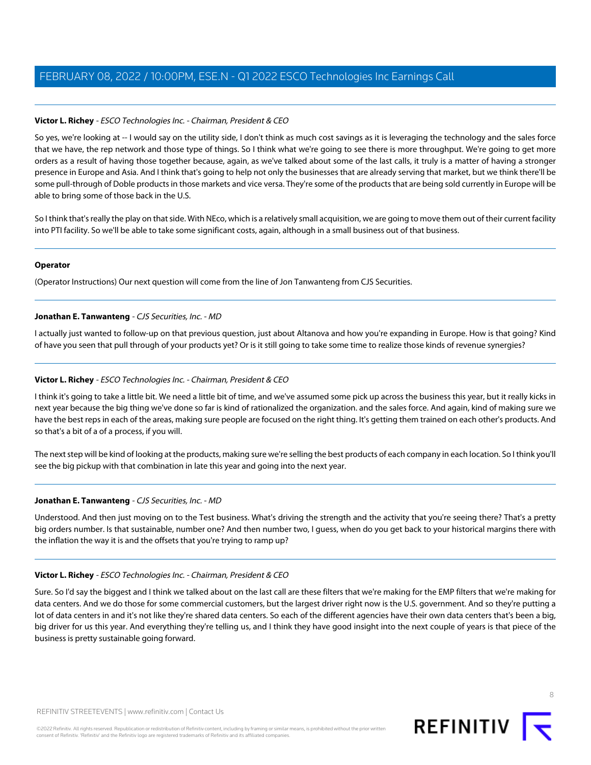# **Victor L. Richey** - ESCO Technologies Inc. - Chairman, President & CEO

So yes, we're looking at -- I would say on the utility side, I don't think as much cost savings as it is leveraging the technology and the sales force that we have, the rep network and those type of things. So I think what we're going to see there is more throughput. We're going to get more orders as a result of having those together because, again, as we've talked about some of the last calls, it truly is a matter of having a stronger presence in Europe and Asia. And I think that's going to help not only the businesses that are already serving that market, but we think there'll be some pull-through of Doble products in those markets and vice versa. They're some of the products that are being sold currently in Europe will be able to bring some of those back in the U.S.

So I think that's really the play on that side. With NEco, which is a relatively small acquisition, we are going to move them out of their current facility into PTI facility. So we'll be able to take some significant costs, again, although in a small business out of that business.

### **Operator**

<span id="page-7-0"></span>(Operator Instructions) Our next question will come from the line of Jon Tanwanteng from CJS Securities.

### **Jonathan E. Tanwanteng** - CJS Securities, Inc. - MD

I actually just wanted to follow-up on that previous question, just about Altanova and how you're expanding in Europe. How is that going? Kind of have you seen that pull through of your products yet? Or is it still going to take some time to realize those kinds of revenue synergies?

### **Victor L. Richey** - ESCO Technologies Inc. - Chairman, President & CEO

I think it's going to take a little bit. We need a little bit of time, and we've assumed some pick up across the business this year, but it really kicks in next year because the big thing we've done so far is kind of rationalized the organization. and the sales force. And again, kind of making sure we have the best reps in each of the areas, making sure people are focused on the right thing. It's getting them trained on each other's products. And so that's a bit of a of a process, if you will.

The next step will be kind of looking at the products, making sure we're selling the best products of each company in each location. So I think you'll see the big pickup with that combination in late this year and going into the next year.

### **Jonathan E. Tanwanteng** - CJS Securities, Inc. - MD

Understood. And then just moving on to the Test business. What's driving the strength and the activity that you're seeing there? That's a pretty big orders number. Is that sustainable, number one? And then number two, I guess, when do you get back to your historical margins there with the inflation the way it is and the offsets that you're trying to ramp up?

### **Victor L. Richey** - ESCO Technologies Inc. - Chairman, President & CEO

Sure. So I'd say the biggest and I think we talked about on the last call are these filters that we're making for the EMP filters that we're making for data centers. And we do those for some commercial customers, but the largest driver right now is the U.S. government. And so they're putting a lot of data centers in and it's not like they're shared data centers. So each of the different agencies have their own data centers that's been a big, big driver for us this year. And everything they're telling us, and I think they have good insight into the next couple of years is that piece of the business is pretty sustainable going forward.



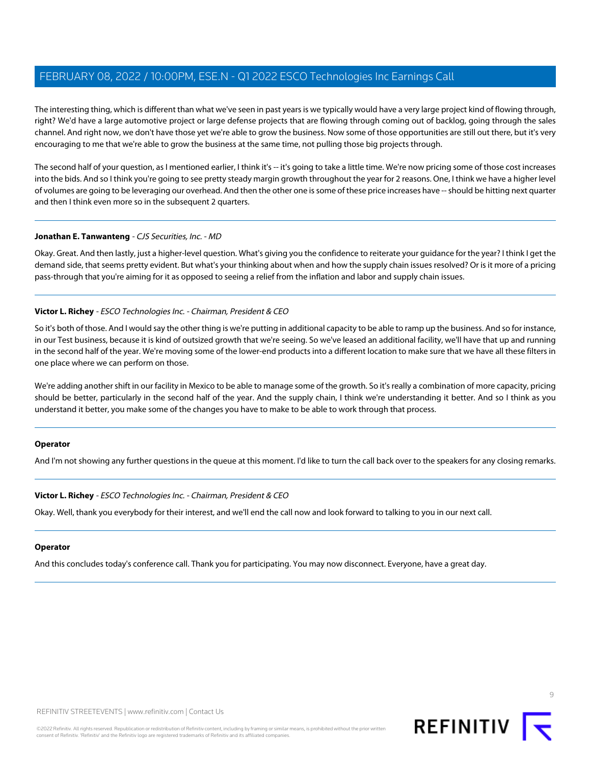The interesting thing, which is different than what we've seen in past years is we typically would have a very large project kind of flowing through, right? We'd have a large automotive project or large defense projects that are flowing through coming out of backlog, going through the sales channel. And right now, we don't have those yet we're able to grow the business. Now some of those opportunities are still out there, but it's very encouraging to me that we're able to grow the business at the same time, not pulling those big projects through.

The second half of your question, as I mentioned earlier, I think it's -- it's going to take a little time. We're now pricing some of those cost increases into the bids. And so I think you're going to see pretty steady margin growth throughout the year for 2 reasons. One, I think we have a higher level of volumes are going to be leveraging our overhead. And then the other one is some of these price increases have -- should be hitting next quarter and then I think even more so in the subsequent 2 quarters.

### **Jonathan E. Tanwanteng** - CJS Securities, Inc. - MD

Okay. Great. And then lastly, just a higher-level question. What's giving you the confidence to reiterate your guidance for the year? I think I get the demand side, that seems pretty evident. But what's your thinking about when and how the supply chain issues resolved? Or is it more of a pricing pass-through that you're aiming for it as opposed to seeing a relief from the inflation and labor and supply chain issues.

# **Victor L. Richey** - ESCO Technologies Inc. - Chairman, President & CEO

So it's both of those. And I would say the other thing is we're putting in additional capacity to be able to ramp up the business. And so for instance, in our Test business, because it is kind of outsized growth that we're seeing. So we've leased an additional facility, we'll have that up and running in the second half of the year. We're moving some of the lower-end products into a different location to make sure that we have all these filters in one place where we can perform on those.

We're adding another shift in our facility in Mexico to be able to manage some of the growth. So it's really a combination of more capacity, pricing should be better, particularly in the second half of the year. And the supply chain, I think we're understanding it better. And so I think as you understand it better, you make some of the changes you have to make to be able to work through that process.

### **Operator**

And I'm not showing any further questions in the queue at this moment. I'd like to turn the call back over to the speakers for any closing remarks.

### **Victor L. Richey** - ESCO Technologies Inc. - Chairman, President & CEO

Okay. Well, thank you everybody for their interest, and we'll end the call now and look forward to talking to you in our next call.

### **Operator**

And this concludes today's conference call. Thank you for participating. You may now disconnect. Everyone, have a great day.